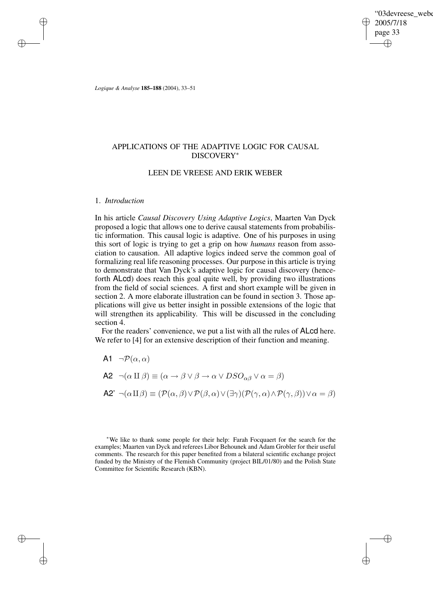'03devreese\_webe 2005/7/18 page 33 ✐ ✐

✐

✐

*Logique & Analyse* **185–188** (2004), 33–51

# APPLICATIONS OF THE ADAPTIVE LOGIC FOR CAUSAL DISCOVERY ∗

## LEEN DE VREESE AND ERIK WEBER

## 1. *Introduction*

✐

✐

✐

✐

In his article *Causal Discovery Using Adaptive Logics*, Maarten Van Dyck proposed a logic that allows one to derive causal statements from probabilistic information. This causal logic is adaptive. One of his purposes in using this sort of logic is trying to get a grip on how *humans* reason from association to causation. All adaptive logics indeed serve the common goal of formalizing real life reasoning processes. Our purpose in this article is trying to demonstrate that Van Dyck's adaptive logic for causal discovery (henceforth ALcd) does reach this goal quite well, by providing two illustrations from the field of social sciences. A first and short example will be given in section 2. A more elaborate illustration can be found in section 3. Those applications will give us better insight in possible extensions of the logic that will strengthen its applicability. This will be discussed in the concluding section 4.

For the readers' convenience, we put a list with all the rules of ALcd here. We refer to [4] for an extensive description of their function and meaning.

A1  $\neg P(\alpha, \alpha)$ 

\n- **A2** 
$$
\neg(\alpha \amalg \beta) \equiv (\alpha \rightarrow \beta \lor \beta \rightarrow \alpha \lor DSO_{\alpha\beta} \lor \alpha = \beta)
$$
\n- **A2**  $\neg(\alpha \amalg \beta) \equiv (\mathcal{P}(\alpha, \beta) \lor \mathcal{P}(\beta, \alpha) \lor (\exists \gamma)(\mathcal{P}(\gamma, \alpha) \land \mathcal{P}(\gamma, \beta)) \lor \alpha = \beta)$
\n

<sup>∗</sup>We like to thank some people for their help: Farah Focquaert for the search for the examples; Maarten van Dyck and referees Libor Behounek and Adam Grobler for their useful comments. The research for this paper benefited from a bilateral scientific exchange project funded by the Ministry of the Flemish Community (project BIL/01/80) and the Polish State Committee for Scientific Research (KBN).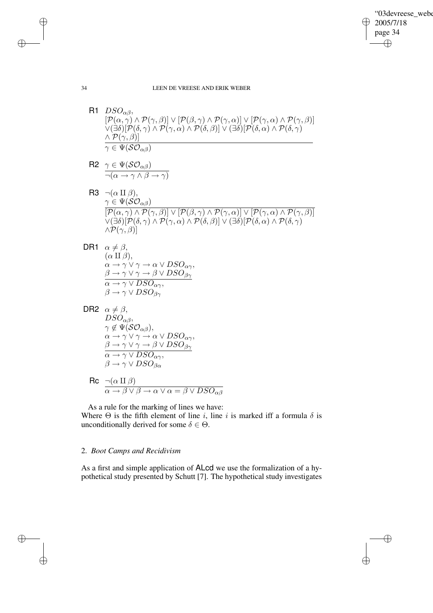✐

34 LEEN DE VREESE AND ERIK WEBER

R1  $DSO_{\alpha\beta}$ ,  $\left[ P(\alpha, \gamma) \wedge P(\gamma, \beta) \right] \vee \left[ P(\beta, \gamma) \wedge P(\gamma, \alpha) \right] \vee \left[ P(\gamma, \alpha) \wedge P(\gamma, \beta) \right]$  $\vee$ (∃δ)[ $\mathcal{P}(\delta,\gamma) \wedge \mathcal{P}(\gamma,\alpha) \wedge \mathcal{P}(\delta,\beta)] \vee (\exists \delta) [\mathcal{P}(\delta,\alpha) \wedge \mathcal{P}(\delta,\gamma)]$  $\land$   $\mathcal{P}(\gamma,\beta)]$  $\gamma\in \Psi(\mathcal{SO}_{\alpha\beta})$ 

R2 
$$
\frac{\gamma \in \Psi(\mathcal{SO}_{\alpha\beta})}{\neg(\alpha \to \gamma \land \beta \to \gamma)}
$$

✐

✐

✐

✐

- R3  $\neg(\alpha \amalg \beta),$  $\gamma \in \Psi(\mathcal{SO}_{\alpha\beta})$  $\overline{[\mathcal{P}(\alpha,\gamma) \land \mathcal{P}(\gamma,\beta)] \lor [\mathcal{P}(\beta,\gamma) \land \mathcal{P}(\gamma,\alpha)] \lor [\mathcal{P}(\gamma,\alpha) \land \mathcal{P}(\gamma,\beta)]}$  $\overline{\nabla(\exists \delta)}[\mathcal{P}(\delta,\gamma) \land \mathcal{P}(\gamma,\alpha) \land \mathcal{P}(\delta,\beta)] \lor (\exists \delta)[\mathcal{P}(\delta,\alpha) \land \mathcal{P}(\delta,\gamma)]$  $\wedge \mathcal{P}(\gamma,\beta)$ ]
- DR1  $\alpha \neq \beta$ ,  $(\alpha \amalg \beta),$  $\alpha \to \gamma \lor \gamma \to \alpha \lor DSO_{\alpha\gamma}$  $\beta \rightarrow \gamma \vee \gamma \rightarrow \beta \vee DSO_{\beta\gamma}$  $\alpha \rightarrow \gamma \vee DSO_{\alpha\gamma}$  $\beta \rightarrow \gamma \vee DSO_{\beta\gamma}$
- DR2  $\alpha \neq \beta$ ,  $DSO_{\alpha\beta}$  $\gamma \notin \Psi(\mathcal{SO}_{\alpha\beta}),$  $\alpha \to \gamma \lor \gamma \to \alpha \lor DSO_{\alpha\gamma}$  $\beta \rightarrow \gamma \vee \gamma \rightarrow \beta \vee DSO_{\beta\gamma}$  $\alpha \rightarrow \gamma \vee DSO_{\alpha\gamma}$  $\beta \rightarrow \gamma \vee DSO_{\beta\alpha}^{\alpha\beta}$ 
	- $\mathsf{Rc} \ \ \underline{\neg(\alpha \amalg \beta)}$  $\alpha \to \beta \lor \beta \to \alpha \lor \alpha = \beta \lor DSO_{\alpha\beta}$

As a rule for the marking of lines we have:

Where  $\Theta$  is the fifth element of line i, line i is marked iff a formula  $\delta$  is unconditionally derived for some  $\delta \in \Theta$ .

# 2. *Boot Camps and Recidivism*

As a first and simple application of ALcd we use the formalization of a hypothetical study presented by Schutt [7]. The hypothetical study investigates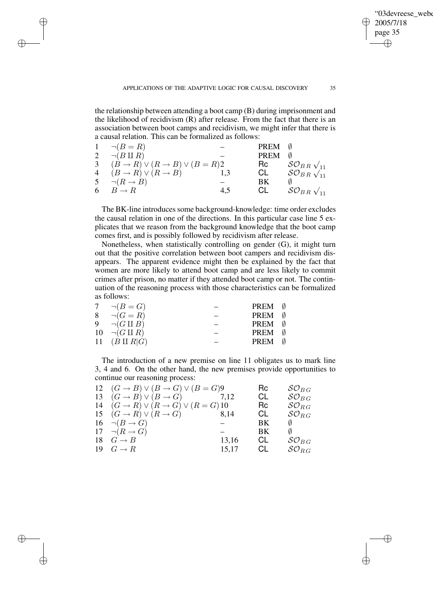✐

the relationship between attending a boot camp (B) during imprisonment and the likelihood of recidivism (R) after release. From the fact that there is an association between boot camps and recidivism, we might infer that there is a causal relation. This can be formalized as follows:

✐

✐

✐

✐

|   | $\neg (B = R)$                                             |     | PREM        |                                  |
|---|------------------------------------------------------------|-----|-------------|----------------------------------|
| 2 | $\neg(B \amalg R)$                                         |     | <b>PREM</b> |                                  |
|   | 3 $(B \rightarrow R) \vee (R \rightarrow B) \vee (B = R)2$ |     | Rc          | $\mathcal{SO}_{B\,R\,\sqrt{11}}$ |
|   | 4 $(B \to R) \lor (R \to B)$                               | 1.3 | CL          | $\mathcal{SO}_{B\,R\,}\sqrt{11}$ |
|   | 5 $\neg(R \rightarrow B)$                                  |     | ВK          |                                  |
| 6 | $B \to R$                                                  | 4.5 | CL.         | $\mathcal{SO}_{B\,R\,\sqrt{11}}$ |

The BK-line introduces some background-knowledge: time order excludes the causal relation in one of the directions. In this particular case line 5 explicates that we reason from the background knowledge that the boot camp comes first, and is possibly followed by recidivism after release.

Nonetheless, when statistically controlling on gender (G), it might turn out that the positive correlation between boot campers and recidivism disappears. The apparent evidence might then be explained by the fact that women are more likely to attend boot camp and are less likely to commit crimes after prison, no matter if they attended boot camp or not. The continuation of the reasoning process with those characteristics can be formalized as follows:

| 7 $\neg(B = G)$             | PREM        |  |
|-----------------------------|-------------|--|
| 8 $\neg(G = R)$             | PREM        |  |
| 9 $\neg(G \amalg B)$        | PREM        |  |
| $10 \quad \neg(G \amalg R)$ | PREM        |  |
| 11 $(B \amalg R   G)$       | <b>PREM</b> |  |
|                             |             |  |

The introduction of a new premise on line 11 obligates us to mark line 3, 4 and 6. On the other hand, the new premises provide opportunities to continue our reasoning process:

| 12 $(G \rightarrow B) \vee (B \rightarrow G) \vee (B = G)9$<br>13 $(G \rightarrow B) \vee (B \rightarrow G)$<br>14 $(G \rightarrow R) \vee (R \rightarrow G) \vee (R = G)$ 10 | 7,12           | Rc<br>CL<br>Rc | $SO_{BG}$<br>$SO_{BG}$<br>$\mathcal{SO}_{RG}$ |
|-------------------------------------------------------------------------------------------------------------------------------------------------------------------------------|----------------|----------------|-----------------------------------------------|
| 15 $(G \rightarrow R) \vee (R \rightarrow G)$                                                                                                                                 | 8.14           | CL             | $\mathcal{SO}_{RG}$                           |
| 16 $\neg(B \rightarrow G)$<br>17 $\neg(R \rightarrow G)$                                                                                                                      |                | ΒK<br>BK       | Ø                                             |
| 18 $G \rightarrow B$<br>$19 \t G \rightarrow R$                                                                                                                               | 13,16<br>15,17 | CL<br>CL.      | $\mathcal{SO}_{B\,G}$<br>$\mathcal{SO}_{RG}$  |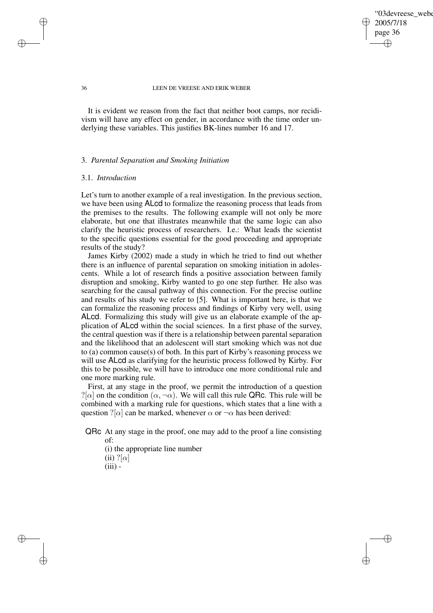## '03devreese\_webe 2005/7/18 page 36 ✐ ✐

✐

✐

#### 36 LEEN DE VREESE AND ERIK WEBER

It is evident we reason from the fact that neither boot camps, nor recidivism will have any effect on gender, in accordance with the time order underlying these variables. This justifies BK-lines number 16 and 17.

## 3. *Parental Separation and Smoking Initiation*

## 3.1. *Introduction*

Let's turn to another example of a real investigation. In the previous section, we have been using ALcd to formalize the reasoning process that leads from the premises to the results. The following example will not only be more elaborate, but one that illustrates meanwhile that the same logic can also clarify the heuristic process of researchers. I.e.: What leads the scientist to the specific questions essential for the good proceeding and appropriate results of the study?

James Kirby (2002) made a study in which he tried to find out whether there is an influence of parental separation on smoking initiation in adolescents. While a lot of research finds a positive association between family disruption and smoking, Kirby wanted to go one step further. He also was searching for the causal pathway of this connection. For the precise outline and results of his study we refer to [5]. What is important here, is that we can formalize the reasoning process and findings of Kirby very well, using ALcd. Formalizing this study will give us an elaborate example of the application of ALcd within the social sciences. In a first phase of the survey, the central question was if there is a relationship between parental separation and the likelihood that an adolescent will start smoking which was not due to (a) common cause(s) of both. In this part of Kirby's reasoning process we will use ALcd as clarifying for the heuristic process followed by Kirby. For this to be possible, we will have to introduce one more conditional rule and one more marking rule.

First, at any stage in the proof, we permit the introduction of a question ?[ $\alpha$ ] on the condition  $(\alpha, \neg \alpha)$ . We will call this rule QRc. This rule will be combined with a marking rule for questions, which states that a line with a question ?[ $\alpha$ ] can be marked, whenever  $\alpha$  or  $\neg \alpha$  has been derived:

QRc At any stage in the proof, one may add to the proof a line consisting of:

(i) the appropriate line number (ii)  $?[\alpha]$  $(iii)$  -

✐

✐

✐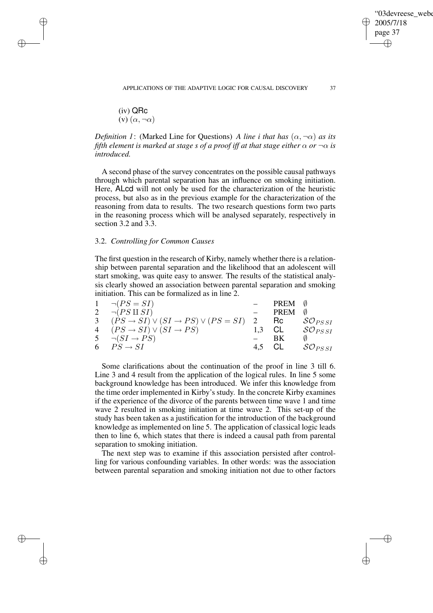(iv) QRc (v)  $(\alpha, \neg \alpha)$ 

✐

✐

✐

✐

*Definition* 1: (Marked Line for Questions) *A line i that has*  $(\alpha, \neg \alpha)$  *as its fifth element is marked at stage s of a proof iff at that stage either*  $\alpha$  *or*  $\neg \alpha$  *is introduced.*

A second phase of the survey concentrates on the possible causal pathways through which parental separation has an influence on smoking initiation. Here, ALcd will not only be used for the characterization of the heuristic process, but also as in the previous example for the characterization of the reasoning from data to results. The two research questions form two parts in the reasoning process which will be analysed separately, respectively in section 3.2 and 3.3.

# 3.2. *Controlling for Common Causes*

The first question in the research of Kirby, namely whether there is a relationship between parental separation and the likelihood that an adolescent will start smoking, was quite easy to answer. The results of the statistical analysis clearly showed an association between parental separation and smoking initiation. This can be formalized as in line 2.

| $1 \quad \neg (PS = SI)$                                             | PREM 0      |                              |
|----------------------------------------------------------------------|-------------|------------------------------|
| 2 $\neg (PS \amalg SI)$                                              | <b>PREM</b> |                              |
| 3 $(PS \rightarrow SI) \vee (SI \rightarrow PS) \vee (PS = SI)$ 2 Rc |             | $\mathcal{SO}_{PSSI}$        |
| 4 $(PS \rightarrow SI) \vee (SI \rightarrow PS)$                     |             | 1.3 CL $\mathcal{SO}_{PSSI}$ |
| 5 $\neg(SI \rightarrow PS)$                                          | <b>BK</b>   |                              |
| 6 $PS \rightarrow SI$                                                | 4.5 CL      | $\mathcal{SO}_{PSSI}$        |
|                                                                      |             |                              |

Some clarifications about the continuation of the proof in line 3 till 6. Line 3 and 4 result from the application of the logical rules. In line 5 some background knowledge has been introduced. We infer this knowledge from the time order implemented in Kirby's study. In the concrete Kirby examines if the experience of the divorce of the parents between time wave 1 and time wave 2 resulted in smoking initiation at time wave 2. This set-up of the study has been taken as a justification for the introduction of the background knowledge as implemented on line 5. The application of classical logic leads then to line 6, which states that there is indeed a causal path from parental separation to smoking initiation.

The next step was to examine if this association persisted after controlling for various confounding variables. In other words: was the association between parental separation and smoking initiation not due to other factors

'03devreese\_webe

2005/7/18 page 37

✐

✐

✐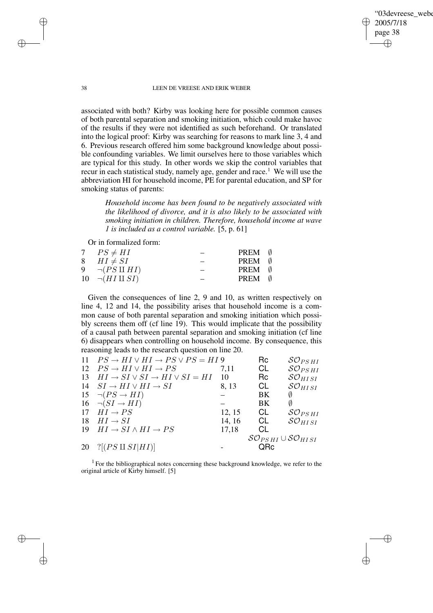'03devreese\_webe 2005/7/18 page 38 ✐ ✐

✐

✐

38 LEEN DE VREESE AND ERIK WEBER

associated with both? Kirby was looking here for possible common causes of both parental separation and smoking initiation, which could make havoc of the results if they were not identified as such beforehand. Or translated into the logical proof: Kirby was searching for reasons to mark line 3, 4 and 6. Previous research offered him some background knowledge about possible confounding variables. We limit ourselves here to those variables which are typical for this study. In other words we skip the control variables that recur in each statistical study, namely age, gender and race.<sup>1</sup> We will use the abbreviation HI for household income, PE for parental education, and SP for smoking status of parents:

*Household income has been found to be negatively associated with the likelihood of divorce, and it is also likely to be associated with smoking initiation in children. Therefore, household income at wave 1 is included as a control variable.* [5, p. 61]

Or in formalized form:

| 7 $PS \neq HI$          | PREM 0 |  |
|-------------------------|--------|--|
| 8 $HI \neq SI$          | PREM 0 |  |
| 9 $\neg (PS \amalg HI)$ | PREM 0 |  |
| 10 $\neg(HI \amalg SI)$ | PREM 0 |  |
|                         |        |  |

Given the consequences of line 2, 9 and 10, as written respectively on line 4, 12 and 14, the possibility arises that household income is a common cause of both parental separation and smoking initiation which possibly screens them off (cf line 19). This would implicate that the possibility of a causal path between parental separation and smoking initiation (cf line 6) disappears when controlling on household income. By consequence, this reasoning leads to the research question on line 20.

| 11 $PS \rightarrow HI \vee HI \rightarrow PS \vee PS = HI9$ |        | Rc                             | $SO_{PSHI}$               |
|-------------------------------------------------------------|--------|--------------------------------|---------------------------|
| 12 $PS \rightarrow HI \vee HI \rightarrow PS$               | 7.11   | CL                             | $\mathcal{SO}_{PS \, HI}$ |
| 13 $HI \rightarrow SI \vee SI \rightarrow HI \vee SI = HI$  | -10    | Rc.                            | $SO_{HISI}$               |
| 14 $SI \rightarrow HI \vee HI \rightarrow SI$               | 8, 13  | CL                             | $SO_{HISI}$               |
| 15 $\neg (PS \rightarrow HI)$                               |        | BK                             | Ø                         |
| 16 $\neg(SI \rightarrow HI)$                                |        | BK                             | Ø                         |
| 17 $HI \rightarrow PS$                                      | 12, 15 | CL                             | $\mathcal{SO}_{PS \, HI}$ |
| 18 $HI \rightarrow SI$                                      | 14, 16 | CL                             | $SO_{HISI}$               |
| 19 $HI \rightarrow SI \wedge HI \rightarrow PS$             | 17,18  | CL                             |                           |
|                                                             |        | $SO_{PS \, HI} \cup SO_{HISI}$ |                           |
| 20 ? $[(PS \amalg SI HI)]$                                  |        | QRc                            |                           |
|                                                             |        |                                |                           |

 $<sup>1</sup>$  For the bibliographical notes concerning these background knowledge, we refer to the</sup> original article of Kirby himself. [5]

✐

✐

✐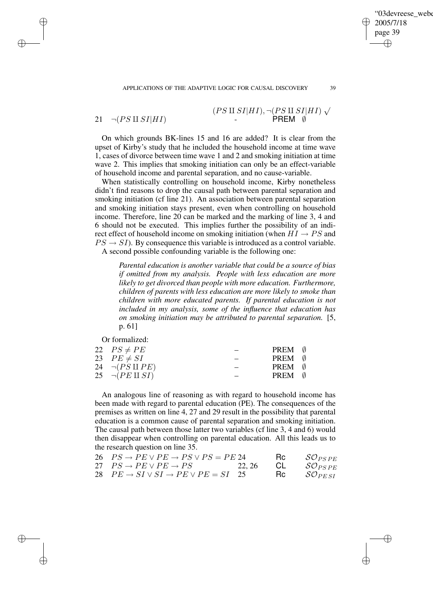APPLICATIONS OF THE ADAPTIVE LOGIC FOR CAUSAL DISCOVERY 39

✐

✐

✐

✐

 $(PS \amalg SI|HI), \neg (PS \amalg SI|HI) \sqrt{}$  $21 \quad \neg (PS \amalg SI | HI)$  - PREM Ø

On which grounds BK-lines 15 and 16 are added? It is clear from the upset of Kirby's study that he included the household income at time wave 1, cases of divorce between time wave 1 and 2 and smoking initiation at time wave 2. This implies that smoking initiation can only be an effect-variable of household income and parental separation, and no cause-variable.

When statistically controlling on household income, Kirby nonetheless didn't find reasons to drop the causal path between parental separation and smoking initiation (cf line 21). An association between parental separation and smoking initiation stays present, even when controlling on household income. Therefore, line 20 can be marked and the marking of line 3, 4 and 6 should not be executed. This implies further the possibility of an indirect effect of household income on smoking initiation (when  $HI \rightarrow PS$  and  $PS \rightarrow SI$ ). By consequence this variable is introduced as a control variable. A second possible confounding variable is the following one:

*Parental education is another variable that could be a source of bias if omitted from my analysis. People with less education are more likely to get divorced than people with more education. Furthermore, children of parents with less education are more likely to smoke than children with more educated parents. If parental education is not included in my analysis, some of the influence that education has on smoking initiation may be attributed to parental separation.* [5, p. 61]

Or formalized:

| 22 $PS \neq PE$          | PREM 0 |  |
|--------------------------|--------|--|
| 23 $PE \neq SI$          | PREM 0 |  |
| 24 $\neg (PS \amalg PE)$ | PREM 0 |  |
| 25 $\neg (PE \amalg SI)$ | PREM 0 |  |
|                          |        |  |

An analogous line of reasoning as with regard to household income has been made with regard to parental education (PE). The consequences of the premises as written on line 4, 27 and 29 result in the possibility that parental education is a common cause of parental separation and smoking initiation. The causal path between those latter two variables (cf line 3, 4 and 6) would then disappear when controlling on parental education. All this leads us to the research question on line 35.

| 26 $PS \rightarrow PE \vee PE \rightarrow PS \vee PS = PE$ 24                          |  | $\mathsf{Rc} \qquad \mathcal{SO}_{PSPE}$ |
|----------------------------------------------------------------------------------------|--|------------------------------------------|
| 27 $PS \to PE \lor PE \to PS$ 22, 26 CL $\mathcal{S} \mathcal{O}_{PSPE}$               |  |                                          |
| 28 $PE \rightarrow SI \vee SI \rightarrow PE \vee PE = SI$ 25 Rc $\mathcal{SO}_{PESI}$ |  |                                          |

'03devreese\_webe

2005/7/18 page 39

✐

✐

✐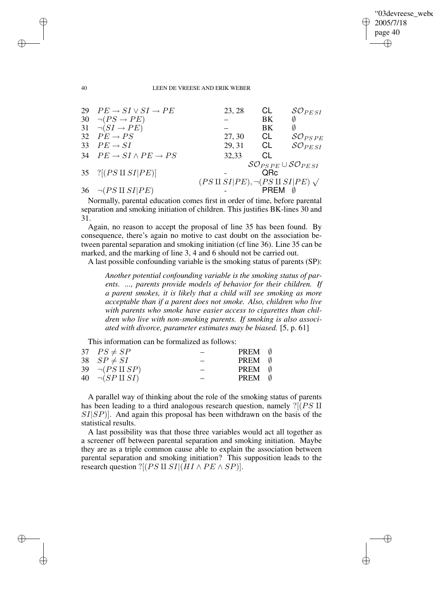✐

#### 40 LEEN DE VREESE AND ERIK WEBER

|    | 29 $PE \rightarrow SI \vee SI \rightarrow PE$  | 23, 28                                               | CL              | $\mathcal{SO}_{PESI}$                                                  |
|----|------------------------------------------------|------------------------------------------------------|-----------------|------------------------------------------------------------------------|
|    | 30 $\neg (PS \rightarrow PE)$                  |                                                      | BK              | Ø                                                                      |
|    | 31 $\neg(SI \rightarrow PE)$                   |                                                      | BK              | Ø                                                                      |
|    | 32 $PE \rightarrow PS$                         | 27, 30                                               | CL              | $\mathcal{SO}_{PSPE}$                                                  |
| 33 | $PE \rightarrow SI$                            | 29, 31                                               | CL              | $\mathcal{SO}_{PESI}$                                                  |
|    | 34 $PE \rightarrow SI \land PE \rightarrow PS$ | 32,33                                                | CL              |                                                                        |
|    |                                                |                                                      |                 | $\mathcal{S} \mathcal{O}_{PSPE} \cup \mathcal{S} \mathcal{O}_{PE\,SI}$ |
|    | 35 $?[(PS \amalg SI PE)]$                      |                                                      | O <sub>Rc</sub> |                                                                        |
|    |                                                | $(PS \amalg SI PE), \neg (PS \amalg SI PE) \sqrt{ }$ |                 |                                                                        |
|    | 36 $\neg (PS \amalg SI   PE)$                  |                                                      | PRFM            |                                                                        |
|    |                                                |                                                      |                 |                                                                        |

Normally, parental education comes first in order of time, before parental separation and smoking initiation of children. This justifies BK-lines 30 and 31.

Again, no reason to accept the proposal of line 35 has been found. By consequence, there's again no motive to cast doubt on the association between parental separation and smoking initiation (cf line 36). Line 35 can be marked, and the marking of line 3, 4 and 6 should not be carried out.

A last possible confounding variable is the smoking status of parents (SP):

*Another potential confounding variable is the smoking status of parents. ..., parents provide models of behavior for their children. If a parent smokes, it is likely that a child will see smoking as more acceptable than if a parent does not smoke. Also, children who live with parents who smoke have easier access to cigarettes than children who live with non-smoking parents. If smoking is also associated with divorce, parameter estimates may be biased.* [5, p. 61]

This information can be formalized as follows:

| 37 $PS \neq SP$          | <b>PREM</b> $\emptyset$ |  |
|--------------------------|-------------------------|--|
| 38 $SP \neq SI$          | <b>PREM</b> $\emptyset$ |  |
| 39 $\neg (PS \amalg SP)$ | PREM (                  |  |
| 40 $\neg (SP \amalg SI)$ | PREM 0                  |  |
|                          |                         |  |

A parallel way of thinking about the role of the smoking status of parents has been leading to a third analogous research question, namely  $?[(PS \Pi$  $SI|SP$ ). And again this proposal has been withdrawn on the basis of the statistical results.

A last possibility was that those three variables would act all together as a screener off between parental separation and smoking initiation. Maybe they are as a triple common cause able to explain the association between parental separation and smoking initiation? This supposition leads to the research question ?[( $PS \amalg SI | (HI \wedge PE \wedge SP)$ ].

✐

✐

✐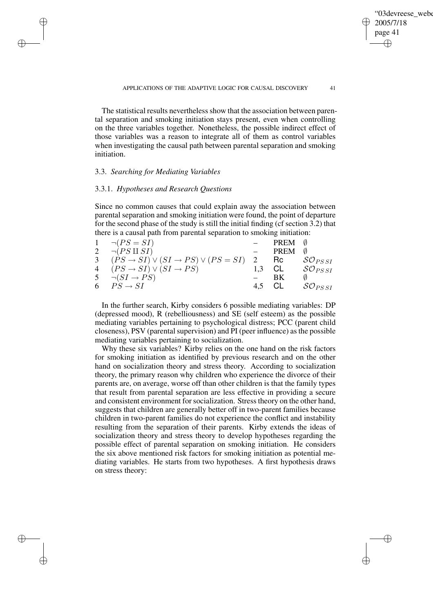✐

The statistical results nevertheless show that the association between parental separation and smoking initiation stays present, even when controlling on the three variables together. Nonetheless, the possible indirect effect of those variables was a reason to integrate all of them as control variables when investigating the causal path between parental separation and smoking initiation.

## 3.3. *Searching for Mediating Variables*

✐

✐

✐

✐

### 3.3.1. *Hypotheses and Research Questions*

Since no common causes that could explain away the association between parental separation and smoking initiation were found, the point of departure for the second phase of the study is still the initial finding (cf section 3.2) that there is a causal path from parental separation to smoking initiation:

| $1 \quad \neg (PS = SI)$                                             | PREM 0 |                       |
|----------------------------------------------------------------------|--------|-----------------------|
| 2 $\neg (PS \amalg SI)$                                              | PREM   |                       |
| 3 $(PS \rightarrow SI) \vee (SI \rightarrow PS) \vee (PS = SI)$ 2 Rc |        | $\mathcal{SO}_{PSSI}$ |
| 4 $(PS \rightarrow SI) \vee (SI \rightarrow PS)$                     |        | 1.3 CL $SO_{PSSI}$    |
| $5 \quad \neg(SI \rightarrow PS)$                                    | BK     |                       |
| 6 $PS \rightarrow SI$                                                | 4,5 CL | $\mathcal{SO}_{PSSI}$ |
|                                                                      |        |                       |

In the further search, Kirby considers 6 possible mediating variables: DP (depressed mood), R (rebelliousness) and SE (self esteem) as the possible mediating variables pertaining to psychological distress; PCC (parent child closeness), PSV (parental supervision) and PI (peer influence) as the possible mediating variables pertaining to socialization.

Why these six variables? Kirby relies on the one hand on the risk factors for smoking initiation as identified by previous research and on the other hand on socialization theory and stress theory. According to socialization theory, the primary reason why children who experience the divorce of their parents are, on average, worse off than other children is that the family types that result from parental separation are less effective in providing a secure and consistent environment for socialization. Stress theory on the other hand, suggests that children are generally better off in two-parent families because children in two-parent families do not experience the conflict and instability resulting from the separation of their parents. Kirby extends the ideas of socialization theory and stress theory to develop hypotheses regarding the possible effect of parental separation on smoking initiation. He considers the six above mentioned risk factors for smoking initiation as potential mediating variables. He starts from two hypotheses. A first hypothesis draws on stress theory: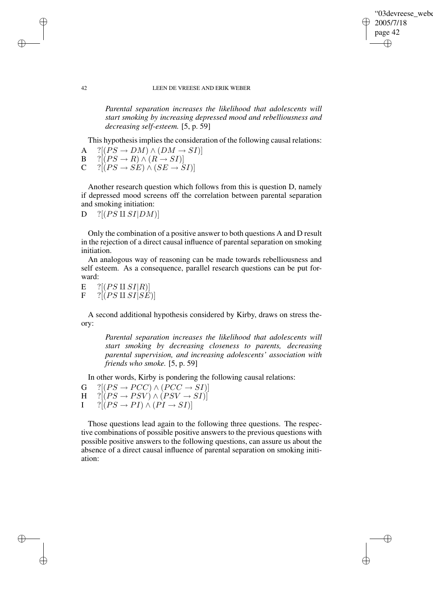✐

#### 42 LEEN DE VREESE AND ERIK WEBER

*Parental separation increases the likelihood that adolescents will start smoking by increasing depressed mood and rebelliousness and decreasing self-esteem.* [5, p. 59]

This hypothesis implies the consideration of the following causal relations:

A ?[ $(PS \rightarrow DM) \land (DM \rightarrow SI)$ ]<br>B ?[ $(PS \rightarrow R) \land (R \rightarrow SI)$ ]

- $B \quad ?[(PS \rightarrow R) \land (R \rightarrow SI)]$ <br>C  $?[(PS \rightarrow SE) \land (SE \rightarrow S)]$
- $?[(PS \rightarrow SE) \wedge (SE \rightarrow SI)]$

Another research question which follows from this is question D, namely if depressed mood screens off the correlation between parental separation and smoking initiation:

 $D$  ?[(PS II SI|DM)]

Only the combination of a positive answer to both questions A and D result in the rejection of a direct causal influence of parental separation on smoking initiation.

An analogous way of reasoning can be made towards rebelliousness and self esteem. As a consequence, parallel research questions can be put forward:

E ?[( $PS \amalg SI|R$ )]<br>F ?[( $PS \amalg SISE$  $?[(PS \, \Pi \, SI | SE)]$ 

A second additional hypothesis considered by Kirby, draws on stress theory:

*Parental separation increases the likelihood that adolescents will start smoking by decreasing closeness to parents, decreasing parental supervision, and increasing adolescents' association with friends who smoke.* [5, p. 59]

In other words, Kirby is pondering the following causal relations:

 $G \quad \{[PS \rightarrow PCC) \land (PCC \rightarrow SI)] \quad \{[PS \rightarrow PCC] \land (PCC \rightarrow SI) \}$  $H \quad ?[(PS \rightarrow PSV) \land (PSV \rightarrow SI)]$ 

 $I \qquad ?[(PS \rightarrow PI) \wedge (PI \rightarrow SI)]$ 

Those questions lead again to the following three questions. The respective combinations of possible positive answers to the previous questions with possible positive answers to the following questions, can assure us about the absence of a direct causal influence of parental separation on smoking initiation:

✐

✐

✐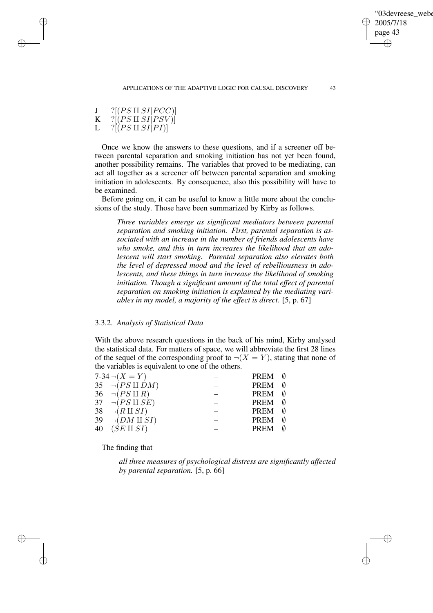J ? $[(PS \amalg SI|PCC)]$ <br>K ? $[(PS \amalg SI|PSV)]$  $K = ?[(PS \amalg SI | PSV)]$ <br>L  $[?[(PS \amalg SI | PIN)]$ 

✐

✐

✐

✐

 $?[(PS \amalg SI | PI)]$ 

Once we know the answers to these questions, and if a screener off between parental separation and smoking initiation has not yet been found, another possibility remains. The variables that proved to be mediating, can act all together as a screener off between parental separation and smoking initiation in adolescents. By consequence, also this possibility will have to be examined.

Before going on, it can be useful to know a little more about the conclusions of the study. Those have been summarized by Kirby as follows.

*Three variables emerge as significant mediators between parental separation and smoking initiation. First, parental separation is associated with an increase in the number of friends adolescents have who smoke, and this in turn increases the likelihood that an adolescent will start smoking. Parental separation also elevates both the level of depressed mood and the level of rebelliousness in adolescents, and these things in turn increase the likelihood of smoking initiation. Though a significant amount of the total effect of parental separation on smoking initiation is explained by the mediating variables in my model, a majority of the effect is direct.* [5, p. 67]

## 3.3.2. *Analysis of Statistical Data*

With the above research questions in the back of his mind, Kirby analysed the statistical data. For matters of space, we will abbreviate the first 28 lines of the sequel of the corresponding proof to  $\neg(X = Y)$ , stating that none of the variables is equivalent to one of the others.

| 7-34 $\neg(X = Y)$                   | PREM        |
|--------------------------------------|-------------|
| 35 $\neg (PS \amalg DM)$             | PREM        |
| 36 $\neg (PS \amalg R)$              | PREM        |
| 37 $\neg (PS \amalg SE)$             | PREM        |
| 38 $\neg(R \amalg SI)$               | <b>PREM</b> |
| 39 $\neg$ ( <i>DM</i> II <i>SI</i> ) | <b>PREM</b> |
| 40 $(SE \amalg SI)$                  | <b>PREM</b> |
|                                      |             |

The finding that

*all three measures of psychological distress are significantly affected by parental separation.* [5, p. 66]

✐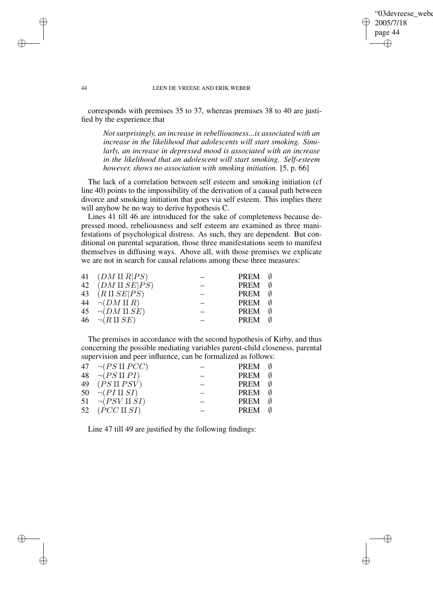## '03devreese\_webe 2005/7/18 page 44 ✐ ✐

✐

✐

#### 44 LEEN DE VREESE AND ERIK WEBER

corresponds with premises 35 to 37, whereas premises 38 to 40 are justified by the experience that

*Not surprisingly, an increase in rebelliousness...is associated with an increase in the likelihood that adolescents will start smoking. Similarly, an increase in depressed mood is associated with an increase in the likelihood that an adolescent will start smoking. Self-esteem however, shows no association with smoking initiation.* [5, p. 66]

The lack of a correlation between self esteem and smoking initiation (cf line 40) points to the impossibility of the derivation of a causal path between divorce and smoking initiation that goes via self esteem. This implies there will anyhow be no way to derive hypothesis C.

Lines 41 till 46 are introduced for the sake of completeness because depressed mood, rebeliousness and self esteem are examined as three manifestations of psychological distress. As such, they are dependent. But conditional on parental separation, those three manifestations seem to manifest themselves in diffusing ways. Above all, with those premises we explicate we are not in search for causal relations among these three measures:

| 41 $(DM \amalg R PS)$               | <b>PREM</b> $\emptyset$ |  |
|-------------------------------------|-------------------------|--|
| 42 $(DM \amalg SE PS)$              | PREM 0                  |  |
| 43 $(R \amalg SE PS)$               | PREM 0                  |  |
| 44 $\neg$ ( <i>DM</i> II <i>R</i> ) | PREM 0                  |  |
| 45 $\neg(DM \amalg SE)$             | PREM 0                  |  |
| 46 $\neg(R \amalg SE)$              | PREM 0                  |  |
|                                     |                         |  |

The premises in accordance with the second hypothesis of Kirby, and thus concerning the possible mediating variables parent-child closeness, parental supervision and peer influence, can be formalized as follows:

| 47 $\neg (PS \amalg PCC)$ | PREM (                  |     |
|---------------------------|-------------------------|-----|
| 48 $\neg (PS \amalg PI)$  | PREM                    | - 0 |
| 49 $(PS \amalg PSV)$      | PREM (                  |     |
| 50 $\neg(PI \amalg SI)$   | <b>PREM</b> $\emptyset$ |     |
| 51 $\neg (PSV \amalg SI)$ | PREM                    | Ø   |
| 52 $(PCC \amalg SI)$      | PREM (                  |     |
|                           |                         |     |

Line 47 till 49 are justified by the following findings:

✐

✐

✐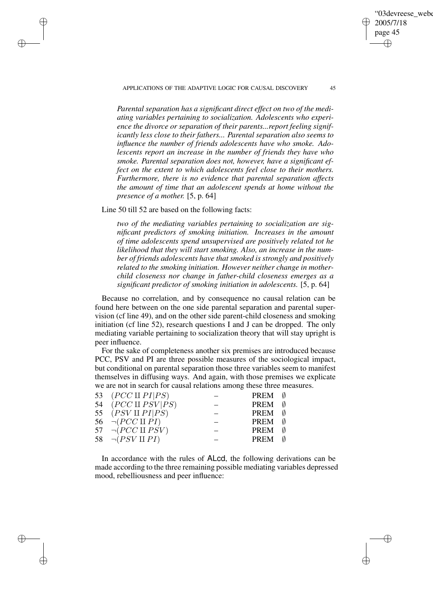APPLICATIONS OF THE ADAPTIVE LOGIC FOR CAUSAL DISCOVERY 45

'03devreese\_webe

2005/7/18 page 45

✐

✐

✐

✐

*Parental separation has a significant direct effect on two of the mediating variables pertaining to socialization. Adolescents who experience the divorce or separation of their parents...report feeling significantly less close to their fathers... Parental separation also seems to influence the number of friends adolescents have who smoke. Adolescents report an increase in the number of friends they have who smoke. Parental separation does not, however, have a significant effect on the extent to which adolescents feel close to their mothers. Furthermore, there is no evidence that parental separation affects the amount of time that an adolescent spends at home without the presence of a mother.* [5, p. 64]

Line 50 till 52 are based on the following facts:

✐

✐

✐

✐

*two of the mediating variables pertaining to socialization are significant predictors of smoking initiation. Increases in the amount of time adolescents spend unsupervised are positively related tot he likelihood that they will start smoking. Also, an increase in the number of friends adolescents have that smoked is strongly and positively related to the smoking initiation. However neither change in motherchild closeness nor change in father-child closeness emerges as a significant predictor of smoking initiation in adolescents.* [5, p. 64]

Because no correlation, and by consequence no causal relation can be found here between on the one side parental separation and parental supervision (cf line 49), and on the other side parent-child closeness and smoking initiation (cf line 52), research questions I and J can be dropped. The only mediating variable pertaining to socialization theory that will stay upright is peer influence.

For the sake of completeness another six premises are introduced because PCC, PSV and PI are three possible measures of the sociological impact, but conditional on parental separation those three variables seem to manifest themselves in diffusing ways. And again, with those premises we explicate we are not in search for causal relations among these three measures.

| 53 $(PCC \amalg PI PS)$    | PREM        |  |
|----------------------------|-------------|--|
| 54 $(PCC \amalg PSV PS)$   | PREM        |  |
| 55 $(PSV \amalg PI PS)$    | PREM        |  |
| 56 $\neg (PCC \amalg PI)$  | PREM        |  |
| 57 $\neg (PCC \amalg PSV)$ | <b>PREM</b> |  |
| 58 $\neg (PSV \amalg PI)$  | PREM        |  |
|                            |             |  |

In accordance with the rules of ALcd, the following derivations can be made according to the three remaining possible mediating variables depressed mood, rebelliousness and peer influence: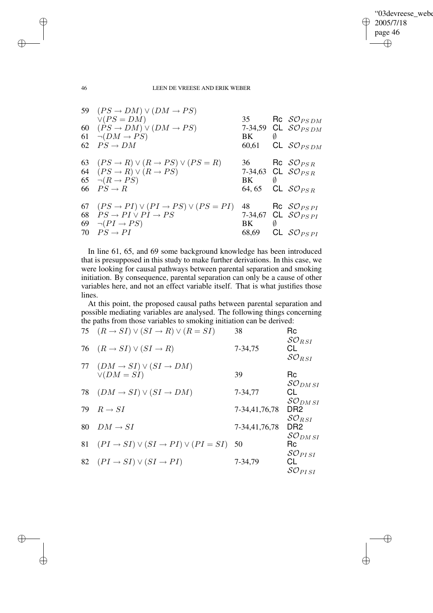✐

### 46 LEEN DE VREESE AND ERIK WEBER

✐

✐

✐

✐

|    | 59 $(PS \rightarrow DM) \vee (DM \rightarrow PS)$                |       |   |                                  |
|----|------------------------------------------------------------------|-------|---|----------------------------------|
|    | $\vee (PS = DM)$                                                 |       |   | 35 Rc $\mathcal{SO}_{PSDM}$      |
|    | 60 $(PS \rightarrow DM) \vee (DM \rightarrow PS)$                |       |   | 7-34,59 CL $\mathcal{SO}_{PSDM}$ |
|    | 61 $\neg$ ( <i>DM</i> $\rightarrow$ <i>PS</i> )                  | BK.   | Ø |                                  |
|    | 62 $PS \rightarrow DM$                                           |       |   | 60,61 CL $\mathcal{SO}_{PSDM}$   |
|    | 63 $(PS \rightarrow R) \vee (R \rightarrow PS) \vee (PS = R)$    |       |   | 36 Rc $\mathcal{SO}_{PSR}$       |
|    | 64 $(PS \rightarrow R) \vee (R \rightarrow PS)$                  |       |   | 7-34,63 CL $\mathcal{SO}_{PSR}$  |
|    | 65 $\neg(R \rightarrow PS)$                                      | BK    | Ø |                                  |
|    | 66 $PS \rightarrow R$                                            |       |   | 64,65 CL $\mathcal{SO}_{PSR}$    |
|    | 67 $(PS \rightarrow PI) \vee (PI \rightarrow PS) \vee (PS = PI)$ |       |   | 48 Rc $\mathcal{SO}_{PSPI}$      |
|    | 68 $PS \rightarrow PI \vee PI \rightarrow PS$                    |       |   | 7-34,67 CL $\mathcal{SO}_{PSPI}$ |
|    | 69 $\neg (PI \rightarrow PS)$                                    | BK.   | Ø |                                  |
| 70 | $PS \rightarrow PI$                                              | 68,69 |   | CL $\mathcal{SO}_{PSPI}$         |

In line 61, 65, and 69 some background knowledge has been introduced that is presupposed in this study to make further derivations. In this case, we were looking for causal pathways between parental separation and smoking initiation. By consequence, parental separation can only be a cause of other variables here, and not an effect variable itself. That is what justifies those lines.

At this point, the proposed causal paths between parental separation and possible mediating variables are analysed. The following things concerning the paths from those variables to smoking initiation can be derived:<br>  $75 (B \times SI) \times (SI \times B) \times (B = SI)$ 

|    | 75 $(R \rightarrow SI) \vee (SI \rightarrow R) \vee (R = SI)$                         | 38            | Rc<br>$\mathcal{SO}_{RSI}$                                         |
|----|---------------------------------------------------------------------------------------|---------------|--------------------------------------------------------------------|
|    | 76 $(R \rightarrow SI) \vee (SI \rightarrow R)$                                       | 7-34,75       | СL<br>$\mathcal{SO}_{RSI}$                                         |
|    | 77 $(DM \rightarrow SI) \vee (SI \rightarrow DM)$<br>$\vee$ ( <i>DM</i> = <i>SI</i> ) | 39            | Rc                                                                 |
|    | 78 $(DM \rightarrow SI) \vee (SI \rightarrow DM)$                                     | 7-34,77       | $\mathcal{SO}_{DM\,SI}$<br>СL<br>$\mathcal{SO}_{DM\,SI}$           |
| 79 | $R \rightarrow SI$                                                                    | 7-34,41,76,78 | DR <sub>2</sub>                                                    |
| 80 | $DM \rightarrow SI$                                                                   | 7-34,41,76,78 | $\mathcal{SO}_{RSI}$<br>DR <sub>2</sub><br>$\mathcal{SO}_{DM\,SI}$ |
| 81 | $(PI \rightarrow SI) \vee (SI \rightarrow PI) \vee (PI = SI)$ 50                      |               | Rc                                                                 |
|    | 82 $(PI \rightarrow SI) \vee (SI \rightarrow PI)$                                     | 7-34,79       | $\mathcal{SO}_{PI\,SI}$<br>CL<br>$\mathcal{SO}_{PI\,SI}$           |
|    |                                                                                       |               |                                                                    |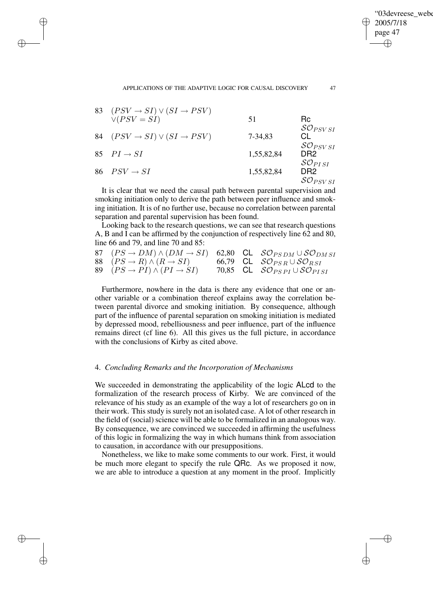✐

✐

✐

✐

✐

| 83 | $(PSV \rightarrow SI) \vee (SI \rightarrow PSV)$<br>$\vee (PSV = SI)$ | 51         | Rc.                                                        |
|----|-----------------------------------------------------------------------|------------|------------------------------------------------------------|
| 84 | $(PSV \rightarrow SI) \vee (SI \rightarrow PSV)$                      | 7-34.83    | $\mathcal{SO}_{PSV\,SI}$<br>CL.                            |
|    | 85 $PI \rightarrow SI$                                                | 1,55,82,84 | $\mathcal{SO}_{PSV\,SI}$<br>DR2<br>$\mathcal{SO}_{PI\,SI}$ |
|    | 86 $PSV \rightarrow SI$                                               | 1,55,82,84 | DR2<br>$\mathcal{SO}_{PSV\,SI}$                            |

It is clear that we need the causal path between parental supervision and smoking initiation only to derive the path between peer influence and smoking initiation. It is of no further use, because no correlation between parental separation and parental supervision has been found.

Looking back to the research questions, we can see that research questions A, B and I can be affirmed by the conjunction of respectively line 62 and 80, line 66 and 79, and line 70 and 85:

| 87 $(PS \to DM) \wedge (DM \to SI)$ 62,80 CL $\mathcal{SO}_{PS\,DM} \cup \mathcal{SO}_{DM\,SI}$ |  |                                                         |
|-------------------------------------------------------------------------------------------------|--|---------------------------------------------------------|
| 88 $(PS \to R) \wedge (R \to SI)$ 66,79 CL $\mathcal{SO}_{PSR} \cup \mathcal{SO}_{RSI}$         |  |                                                         |
| 89 $(PS \rightarrow PI) \wedge (PI \rightarrow SI)$                                             |  | 70,85 CL $\mathcal{SO}_{PSPI} \cup \mathcal{SO}_{PISI}$ |

Furthermore, nowhere in the data is there any evidence that one or another variable or a combination thereof explains away the correlation between parental divorce and smoking initiation. By consequence, although part of the influence of parental separation on smoking initiation is mediated by depressed mood, rebelliousness and peer influence, part of the influence remains direct (cf line 6). All this gives us the full picture, in accordance with the conclusions of Kirby as cited above.

### 4. *Concluding Remarks and the Incorporation of Mechanisms*

We succeeded in demonstrating the applicability of the logic ALcd to the formalization of the research process of Kirby. We are convinced of the relevance of his study as an example of the way a lot of researchers go on in their work. This study is surely not an isolated case. A lot of other research in the field of (social) science will be able to be formalized in an analogous way. By consequence, we are convinced we succeeded in affirming the usefulness of this logic in formalizing the way in which humans think from association to causation, in accordance with our presuppositions.

Nonetheless, we like to make some comments to our work. First, it would be much more elegant to specify the rule QRc. As we proposed it now, we are able to introduce a question at any moment in the proof. Implicitly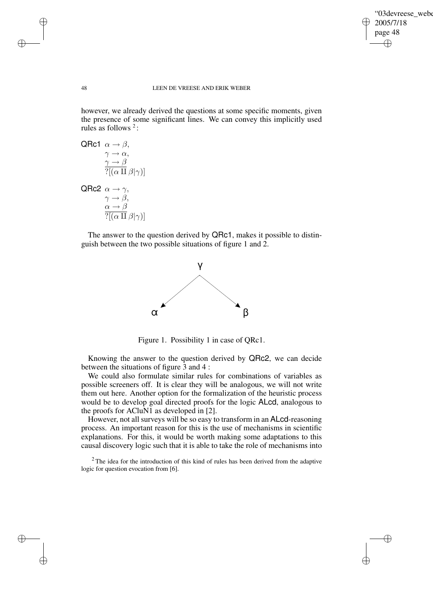✐

#### 48 LEEN DE VREESE AND ERIK WEBER

however, we already derived the questions at some specific moments, given the presence of some significant lines. We can convey this implicitly used rules as follows  $2$ :

QRC1 
$$
\alpha \rightarrow \beta
$$
,  
\n $\gamma \rightarrow \alpha$ ,  
\n $\frac{\gamma \rightarrow \beta}{?[(\alpha \amalg \beta | \gamma)]}$   
\nQRC2  $\alpha \rightarrow \gamma$ ,  
\n $\gamma \rightarrow \beta$ ,  
\n $\alpha \rightarrow \beta$ 

 $?[(\alpha \amalg \beta | \gamma)]$ 

The answer to the question derived by QRc1, makes it possible to distinguish between the two possible situations of figure 1 and 2.



Figure 1. Possibility 1 in case of QRc1.

Knowing the answer to the question derived by QRc2, we can decide between the situations of figure 3 and 4 :

We could also formulate similar rules for combinations of variables as possible screeners off. It is clear they will be analogous, we will not write them out here. Another option for the formalization of the heuristic process would be to develop goal directed proofs for the logic ALcd, analogous to the proofs for ACluN1 as developed in [2].

However, not all surveys will be so easy to transform in an ALcd-reasoning process. An important reason for this is the use of mechanisms in scientific explanations. For this, it would be worth making some adaptations to this causal discovery logic such that it is able to take the role of mechanisms into

<sup>2</sup> The idea for the introduction of this kind of rules has been derived from the adaptive logic for question evocation from [6].

✐

✐

✐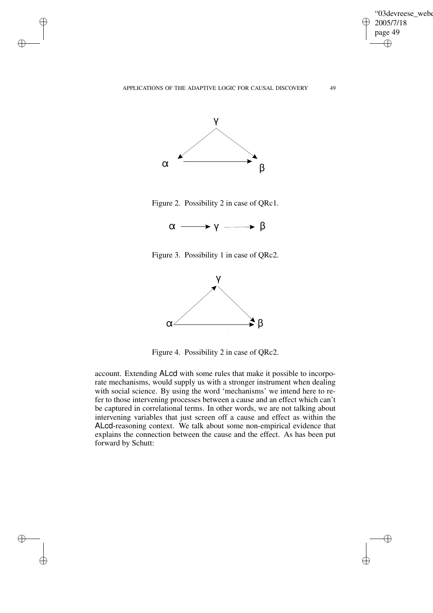✐



✐

✐

✐

✐

Figure 2. Possibility 2 in case of QRc1.



Figure 3. Possibility 1 in case of QRc2.



Figure 4. Possibility 2 in case of QRc2.

account. Extending ALcd with some rules that make it possible to incorporate mechanisms, would supply us with a stronger instrument when dealing with social science. By using the word 'mechanisms' we intend here to refer to those intervening processes between a cause and an effect which can't be captured in correlational terms. In other words, we are not talking about intervening variables that just screen off a cause and effect as within the ALcd-reasoning context. We talk about some non-empirical evidence that explains the connection between the cause and the effect. As has been put forward by Schutt: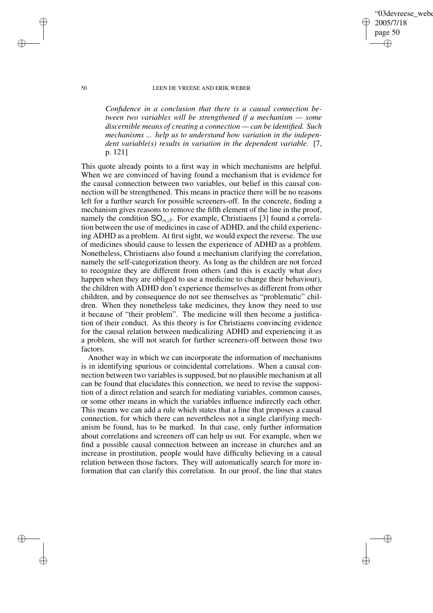## 03devreese webe 2005/7/18 page 50 ✐ ✐

✐

✐

#### 50 LEEN DE VREESE AND ERIK WEBER

*Confidence in a conclusion that there is a causal connection between two variables will be strengthened if a mechanism — some discernible means of creating a connection — can be identified. Such mechanisms ... help us to understand how variation in the independent variable(s) results in variation in the dependent variable.* [7, p. 121]

This quote already points to a first way in which mechanisms are helpful. When we are convinced of having found a mechanism that is evidence for the causal connection between two variables, our belief in this causal connection will be strengthened. This means in practice there will be no reasons left for a further search for possible screeners-off. In the concrete, finding a mechanism gives reasons to remove the fifth element of the line in the proof, namely the condition  $SO_{\alpha,\beta}$ . For example, Christiaens [3] found a correlation between the use of medicines in case of ADHD, and the child experiencing ADHD as a problem. At first sight, we would expect the reverse. The use of medicines should cause to lessen the experience of ADHD as a problem. Nonetheless, Christiaens also found a mechanism clarifying the correlation, namely the self-categorization theory. As long as the children are not forced to recognize they are different from others (and this is exactly what *does* happen when they are obliged to use a medicine to change their behaviour), the children with ADHD don't experience themselves as different from other children, and by consequence do not see themselves as "problematic" children. When they nonetheless take medicines, they know they need to use it because of "their problem". The medicine will then become a justification of their conduct. As this theory is for Christiaens convincing evidence for the causal relation between medicalizing ADHD and experiencing it as a problem, she will not search for further screeners-off between those two factors.

Another way in which we can incorporate the information of mechanisms is in identifying spurious or coincidental correlations. When a causal connection between two variables is supposed, but no plausible mechanism at all can be found that elucidates this connection, we need to revise the supposition of a direct relation and search for mediating variables, common causes, or some other means in which the variables influence indirectly each other. This means we can add a rule which states that a line that proposes a causal connection, for which there can nevertheless not a single clarifying mechanism be found, has to be marked. In that case, only further information about correlations and screeners off can help us out. For example, when we find a possible causal connection between an increase in churches and an increase in prostitution, people would have difficulty believing in a causal relation between those factors. They will automatically search for more information that can clarify this correlation. In our proof, the line that states

✐

✐

✐